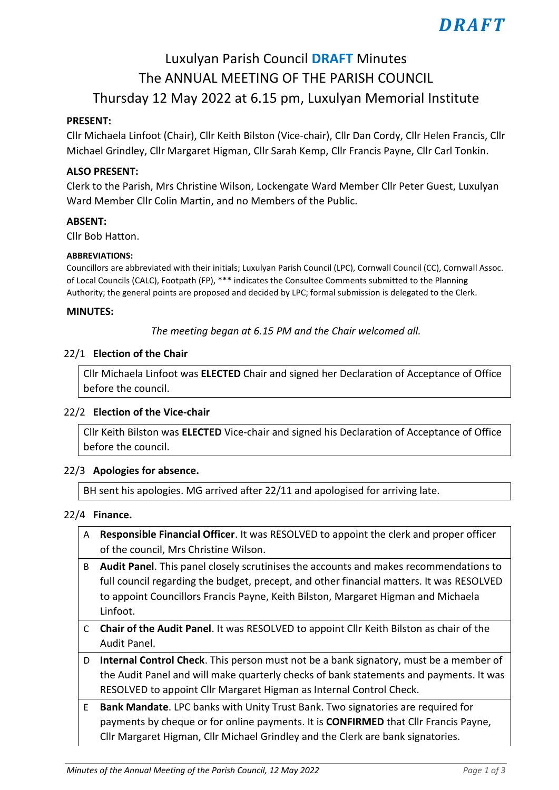# *DRAFT*

# Luxulyan Parish Council **DRAFT** Minutes The ANNUAL MEETING OF THE PARISH COUNCIL Thursday 12 May 2022 at 6.15 pm, Luxulyan Memorial Institute

#### **PRESENT:**

Cllr Michaela Linfoot (Chair), Cllr Keith Bilston (Vice-chair), Cllr Dan Cordy, Cllr Helen Francis, Cllr Michael Grindley, Cllr Margaret Higman, Cllr Sarah Kemp, Cllr Francis Payne, Cllr Carl Tonkin.

#### **ALSO PRESENT:**

Clerk to the Parish, Mrs Christine Wilson, Lockengate Ward Member Cllr Peter Guest, Luxulyan Ward Member Cllr Colin Martin, and no Members of the Public.

#### **ABSENT:**

Cllr Bob Hatton.

#### **ABBREVIATIONS:**

Councillors are abbreviated with their initials; Luxulyan Parish Council (LPC), Cornwall Council (CC), Cornwall Assoc. of Local Councils (CALC), Footpath (FP), \*\*\* indicates the Consultee Comments submitted to the Planning Authority; the general points are proposed and decided by LPC; formal submission is delegated to the Clerk.

#### **MINUTES:**

*The meeting began at 6.15 PM and the Chair welcomed all.*

#### 22/1 **Election of the Chair**

Cllr Michaela Linfoot was **ELECTED** Chair and signed her Declaration of Acceptance of Office before the council.

#### 22/2 **Election of the Vice-chair**

Cllr Keith Bilston was **ELECTED** Vice-chair and signed his Declaration of Acceptance of Office before the council.

#### 22/3 **Apologies for absence.**

BH sent his apologies. MG arrived after 22/11 and apologised for arriving late.

#### 22/4 **Finance.**

- A **Responsible Financial Officer**. It was RESOLVED to appoint the clerk and proper officer of the council, Mrs Christine Wilson.
- B **Audit Panel**. This panel closely scrutinises the accounts and makes recommendations to full council regarding the budget, precept, and other financial matters. It was RESOLVED to appoint Councillors Francis Payne, Keith Bilston, Margaret Higman and Michaela Linfoot.
- C **Chair of the Audit Panel**. It was RESOLVED to appoint Cllr Keith Bilston as chair of the Audit Panel.
- D **Internal Control Check**. This person must not be a bank signatory, must be a member of the Audit Panel and will make quarterly checks of bank statements and payments. It was RESOLVED to appoint Cllr Margaret Higman as Internal Control Check.
- E **Bank Mandate**. LPC banks with Unity Trust Bank. Two signatories are required for payments by cheque or for online payments. It is **CONFIRMED** that Cllr Francis Payne, Cllr Margaret Higman, Cllr Michael Grindley and the Clerk are bank signatories.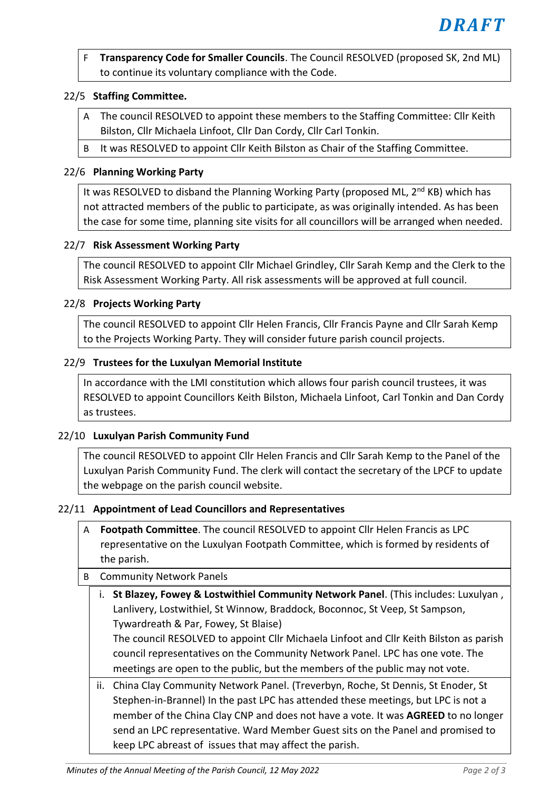F **Transparency Code for Smaller Councils**. The Council RESOLVED (proposed SK, 2nd ML) to continue its voluntary compliance with the Code.

# 22/5 **Staffing Committee.**

- A The council RESOLVED to appoint these members to the Staffing Committee: Cllr Keith Bilston, Cllr Michaela Linfoot, Cllr Dan Cordy, Cllr Carl Tonkin.
- B It was RESOLVED to appoint Cllr Keith Bilston as Chair of the Staffing Committee.

# 22/6 **Planning Working Party**

It was RESOLVED to disband the Planning Working Party (proposed ML,  $2^{nd}$  KB) which has not attracted members of the public to participate, as was originally intended. As has been the case for some time, planning site visits for all councillors will be arranged when needed.

#### 22/7 **Risk Assessment Working Party**

The council RESOLVED to appoint Cllr Michael Grindley, Cllr Sarah Kemp and the Clerk to the Risk Assessment Working Party. All risk assessments will be approved at full council.

#### 22/8 **Projects Working Party**

The council RESOLVED to appoint Cllr Helen Francis, Cllr Francis Payne and Cllr Sarah Kemp to the Projects Working Party. They will consider future parish council projects.

# 22/9 **Trustees for the Luxulyan Memorial Institute**

In accordance with the LMI constitution which allows four parish council trustees, it was RESOLVED to appoint Councillors Keith Bilston, Michaela Linfoot, Carl Tonkin and Dan Cordy as trustees.

#### 22/10 **Luxulyan Parish Community Fund**

The council RESOLVED to appoint Cllr Helen Francis and Cllr Sarah Kemp to the Panel of the Luxulyan Parish Community Fund. The clerk will contact the secretary of the LPCF to update the webpage on the parish council website.

#### 22/11 **Appointment of Lead Councillors and Representatives**

A **Footpath Committee**. The council RESOLVED to appoint Cllr Helen Francis as LPC representative on the Luxulyan Footpath Committee, which is formed by residents of the parish.

# B Community Network Panels

i. **St Blazey, Fowey & Lostwithiel Community Network Panel**. (This includes: Luxulyan , Lanlivery, Lostwithiel, St Winnow, Braddock, Boconnoc, St Veep, St Sampson, Tywardreath & Par, Fowey, St Blaise) The council RESOLVED to appoint Cllr Michaela Linfoot and Cllr Keith Bilston as parish council representatives on the Community Network Panel. LPC has one vote. The meetings are open to the public, but the members of the public may not vote.

ii. China Clay Community Network Panel. (Treverbyn, Roche, St Dennis, St Enoder, St Stephen-in-Brannel) In the past LPC has attended these meetings, but LPC is not a member of the China Clay CNP and does not have a vote. It was **AGREED** to no longer send an LPC representative. Ward Member Guest sits on the Panel and promised to keep LPC abreast of issues that may affect the parish.